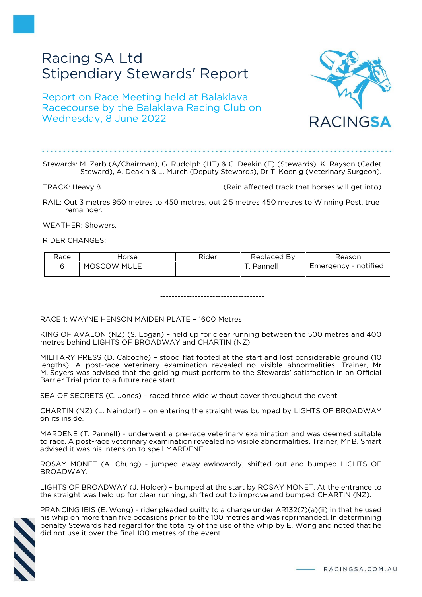# Racing SA Ltd Stipendiary Stewards' Report

Report on Race Meeting held at Balaklava Racecourse by the Balaklava Racing Club on Wednesday, 8 June 2022



## Stewards: M. Zarb (A/Chairman), G. Rudolph (HT) & C. Deakin (F) (Stewards), K. Rayson (Cadet Steward), A. Deakin & L. Murch (Deputy Stewards), Dr T. Koenig (Veterinary Surgeon).

TRACK: Heavy 8 (Rain affected track that horses will get into)

RAIL: Out 3 metres 950 metres to 450 metres, out 2.5 metres 450 metres to Winning Post, true remainder.

WEATHER: Showers.

#### RIDER CHANGES:

| Race | Horse       | Rider | Replaced By | Reason               |
|------|-------------|-------|-------------|----------------------|
|      | MOSCOW MULE |       | Pannel      | Emergency - notified |

------------------------------------

## RACE 1: WAYNE HENSON MAIDEN PLATE – 1600 Metres

KING OF AVALON (NZ) (S. Logan) – held up for clear running between the 500 metres and 400 metres behind LIGHTS OF BROADWAY and CHARTIN (NZ).

MILITARY PRESS (D. Caboche) – stood flat footed at the start and lost considerable ground (10 lengths). A post-race veterinary examination revealed no visible abnormalities. Trainer, Mr M. Seyers was advised that the gelding must perform to the Stewards' satisfaction in an Official Barrier Trial prior to a future race start.

SEA OF SECRETS (C. Jones) – raced three wide without cover throughout the event.

CHARTIN (NZ) (L. Neindorf) – on entering the straight was bumped by LIGHTS OF BROADWAY on its inside.

MARDENE (T. Pannell) - underwent a pre-race veterinary examination and was deemed suitable to race. A post-race veterinary examination revealed no visible abnormalities. Trainer, Mr B. Smart advised it was his intension to spell MARDENE.

ROSAY MONET (A. Chung) - jumped away awkwardly, shifted out and bumped LIGHTS OF BROADWAY.

LIGHTS OF BROADWAY (J. Holder) – bumped at the start by ROSAY MONET. At the entrance to the straight was held up for clear running, shifted out to improve and bumped CHARTIN (NZ).



PRANCING IBIS (E. Wong) - rider pleaded guilty to a charge under AR132(7)(a)(ii) in that he used his whip on more than five occasions prior to the 100 metres and was reprimanded. In determining penalty Stewards had regard for the totality of the use of the whip by E. Wong and noted that he did not use it over the final 100 metres of the event.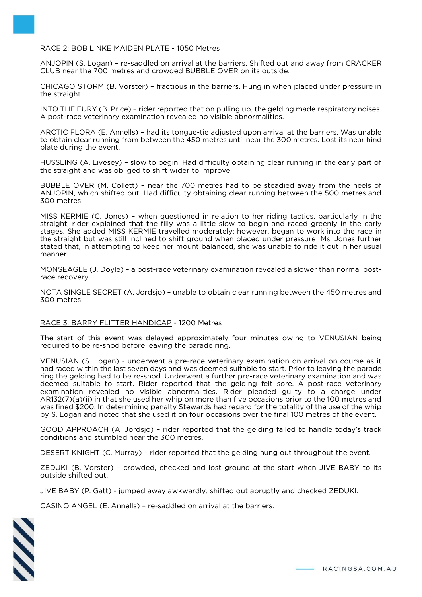#### RACE 2: BOB LINKE MAIDEN PLATE - 1050 Metres

ANJOPIN (S. Logan) – re-saddled on arrival at the barriers. Shifted out and away from CRACKER CLUB near the 700 metres and crowded BUBBLE OVER on its outside.

CHICAGO STORM (B. Vorster) – fractious in the barriers. Hung in when placed under pressure in the straight.

INTO THE FURY (B. Price) – rider reported that on pulling up, the gelding made respiratory noises. A post-race veterinary examination revealed no visible abnormalities.

ARCTIC FLORA (E. Annells) – had its tongue-tie adjusted upon arrival at the barriers. Was unable to obtain clear running from between the 450 metres until near the 300 metres. Lost its near hind plate during the event.

HUSSLING (A. Livesey) – slow to begin. Had difficulty obtaining clear running in the early part of the straight and was obliged to shift wider to improve.

BUBBLE OVER (M. Collett) – near the 700 metres had to be steadied away from the heels of ANJOPIN, which shifted out. Had difficulty obtaining clear running between the 500 metres and 300 metres.

MISS KERMIE (C. Jones) – when questioned in relation to her riding tactics, particularly in the straight, rider explained that the filly was a little slow to begin and raced greenly in the early stages. She added MISS KERMIE travelled moderately; however, began to work into the race in the straight but was still inclined to shift ground when placed under pressure. Ms. Jones further stated that, in attempting to keep her mount balanced, she was unable to ride it out in her usual manner.

MONSEAGLE (J. Doyle) – a post-race veterinary examination revealed a slower than normal postrace recovery.

NOTA SINGLE SECRET (A. Jordsjo) – unable to obtain clear running between the 450 metres and 300 metres.

#### RACE 3: BARRY FLITTER HANDICAP - 1200 Metres

The start of this event was delayed approximately four minutes owing to VENUSIAN being required to be re-shod before leaving the parade ring.

VENUSIAN (S. Logan) - underwent a pre-race veterinary examination on arrival on course as it had raced within the last seven days and was deemed suitable to start. Prior to leaving the parade ring the gelding had to be re-shod. Underwent a further pre-race veterinary examination and was deemed suitable to start. Rider reported that the gelding felt sore. A post-race veterinary examination revealed no visible abnormalities. Rider pleaded guilty to a charge under AR132(7)(a)(ii) in that she used her whip on more than five occasions prior to the 100 metres and was fined \$200. In determining penalty Stewards had regard for the totality of the use of the whip by S. Logan and noted that she used it on four occasions over the final 100 metres of the event.

GOOD APPROACH (A. Jordsjo) – rider reported that the gelding failed to handle today's track conditions and stumbled near the 300 metres.

DESERT KNIGHT (C. Murray) – rider reported that the gelding hung out throughout the event.

ZEDUKI (B. Vorster) – crowded, checked and lost ground at the start when JIVE BABY to its outside shifted out.

JIVE BABY (P. Gatt) - jumped away awkwardly, shifted out abruptly and checked ZEDUKI.

CASINO ANGEL (E. Annells) – re-saddled on arrival at the barriers.

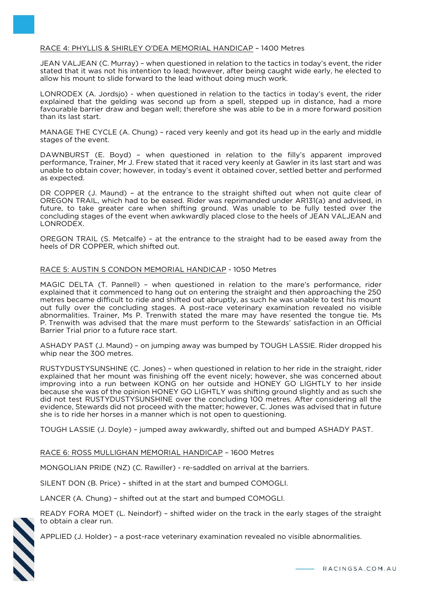## RACE 4: PHYLLIS & SHIRLEY O'DEA MEMORIAL HANDICAP – 1400 Metres

JEAN VALJEAN (C. Murray) – when questioned in relation to the tactics in today's event, the rider stated that it was not his intention to lead; however, after being caught wide early, he elected to allow his mount to slide forward to the lead without doing much work.

LONRODEX (A. Jordsjo) - when questioned in relation to the tactics in today's event, the rider explained that the gelding was second up from a spell, stepped up in distance, had a more favourable barrier draw and began well; therefore she was able to be in a more forward position than its last start.

MANAGE THE CYCLE (A. Chung) – raced very keenly and got its head up in the early and middle stages of the event.

DAWNBURST (E. Boyd) – when questioned in relation to the filly's apparent improved performance, Trainer, Mr J. Frew stated that it raced very keenly at Gawler in its last start and was unable to obtain cover; however, in today's event it obtained cover, settled better and performed as expected.

DR COPPER (J. Maund) – at the entrance to the straight shifted out when not quite clear of OREGON TRAIL, which had to be eased. Rider was reprimanded under AR131(a) and advised, in future, to take greater care when shifting ground. Was unable to be fully tested over the concluding stages of the event when awkwardly placed close to the heels of JEAN VALJEAN and LONRODEX.

OREGON TRAIL (S. Metcalfe) – at the entrance to the straight had to be eased away from the heels of DR COPPER, which shifted out.

#### RACE 5: AUSTIN S CONDON MEMORIAL HANDICAP - 1050 Metres

MAGIC DELTA (T. Pannell) – when questioned in relation to the mare's performance, rider explained that it commenced to hang out on entering the straight and then approaching the 250 metres became difficult to ride and shifted out abruptly, as such he was unable to test his mount out fully over the concluding stages. A post-race veterinary examination revealed no visible abnormalities. Trainer, Ms P. Trenwith stated the mare may have resented the tongue tie. Ms P. Trenwith was advised that the mare must perform to the Stewards' satisfaction in an Official Barrier Trial prior to a future race start.

ASHADY PAST (J. Maund) – on jumping away was bumped by TOUGH LASSIE. Rider dropped his whip near the 300 metres.

RUSTYDUSTYSUNSHINE (C. Jones) – when questioned in relation to her ride in the straight, rider explained that her mount was finishing off the event nicely; however, she was concerned about improving into a run between KONG on her outside and HONEY GO LIGHTLY to her inside because she was of the opinion HONEY GO LIGHTLY was shifting ground slightly and as such she did not test RUSTYDUSTYSUNSHINE over the concluding 100 metres. After considering all the evidence, Stewards did not proceed with the matter; however, C. Jones was advised that in future she is to ride her horses in a manner which is not open to questioning.

TOUGH LASSIE (J. Doyle) – jumped away awkwardly, shifted out and bumped ASHADY PAST.

## RACE 6: ROSS MULLIGHAN MEMORIAL HANDICAP – 1600 Metres

MONGOLIAN PRIDE (NZ) (C. Rawiller) - re-saddled on arrival at the barriers.

SILENT DON (B. Price) – shifted in at the start and bumped COMOGLI.

LANCER (A. Chung) – shifted out at the start and bumped COMOGLI.

READY FORA MOET (L. Neindorf) – shifted wider on the track in the early stages of the straight to obtain a clear run.